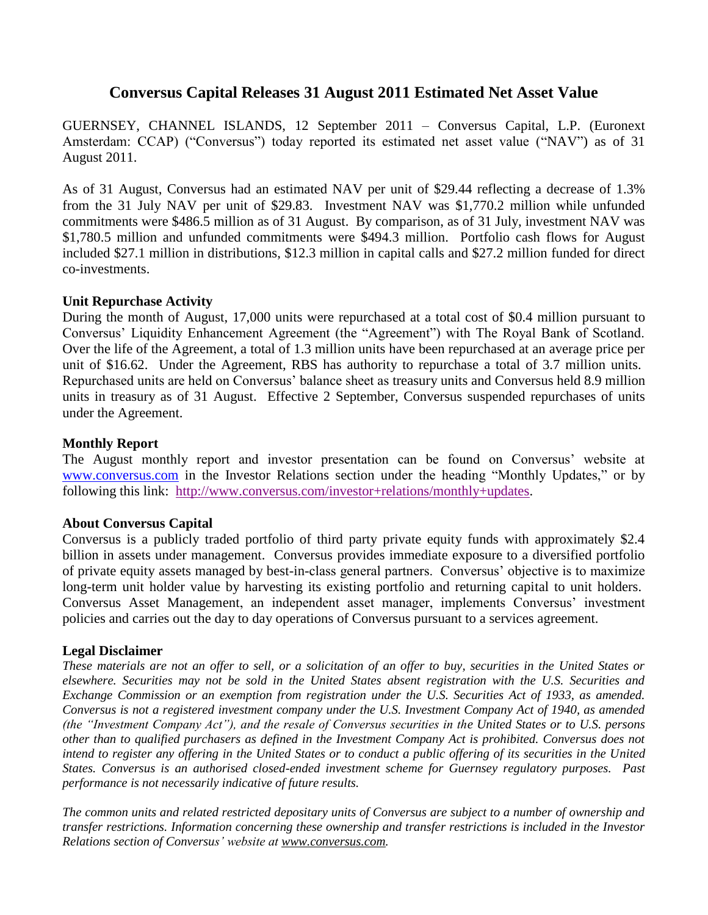# **Conversus Capital Releases 31 August 2011 Estimated Net Asset Value**

GUERNSEY, CHANNEL ISLANDS, 12 September 2011 – Conversus Capital, L.P. (Euronext Amsterdam: CCAP) ("Conversus") today reported its estimated net asset value ("NAV") as of 31 August 2011.

As of 31 August, Conversus had an estimated NAV per unit of \$29.44 reflecting a decrease of 1.3% from the 31 July NAV per unit of \$29.83. Investment NAV was \$1,770.2 million while unfunded commitments were \$486.5 million as of 31 August. By comparison, as of 31 July, investment NAV was \$1,780.5 million and unfunded commitments were \$494.3 million. Portfolio cash flows for August included \$27.1 million in distributions, \$12.3 million in capital calls and \$27.2 million funded for direct co-investments.

## **Unit Repurchase Activity**

During the month of August, 17,000 units were repurchased at a total cost of \$0.4 million pursuant to Conversus' Liquidity Enhancement Agreement (the "Agreement") with The Royal Bank of Scotland. Over the life of the Agreement, a total of 1.3 million units have been repurchased at an average price per unit of \$16.62. Under the Agreement, RBS has authority to repurchase a total of 3.7 million units. Repurchased units are held on Conversus' balance sheet as treasury units and Conversus held 8.9 million units in treasury as of 31 August. Effective 2 September, Conversus suspended repurchases of units under the Agreement.

## **Monthly Report**

The August monthly report and investor presentation can be found on Conversus' website at [www.conversus.com](http://www.conversus.com/) in the Investor Relations section under the heading "Monthly Updates," or by following this link: [http://www.conversus.com/investor+relations/monthly+updates.](http://www.conversus.com/images/20027/CCAP_2011_08_31_Monthly_Report_Final.pdf)

## **About Conversus Capital**

Conversus is a publicly traded portfolio of third party private equity funds with approximately \$2.4 billion in assets under management. Conversus provides immediate exposure to a diversified portfolio of private equity assets managed by best-in-class general partners. Conversus' objective is to maximize long-term unit holder value by harvesting its existing portfolio and returning capital to unit holders. Conversus Asset Management, an independent asset manager, implements Conversus' investment policies and carries out the day to day operations of Conversus pursuant to a services agreement.

## **Legal Disclaimer**

*These materials are not an offer to sell, or a solicitation of an offer to buy, securities in the United States or elsewhere. Securities may not be sold in the United States absent registration with the U.S. Securities and Exchange Commission or an exemption from registration under the U.S. Securities Act of 1933, as amended. Conversus is not a registered investment company under the U.S. Investment Company Act of 1940, as amended (the "Investment Company Act"), and the resale of Conversus securities in the United States or to U.S. persons other than to qualified purchasers as defined in the Investment Company Act is prohibited. Conversus does not intend to register any offering in the United States or to conduct a public offering of its securities in the United States. Conversus is an authorised closed-ended investment scheme for Guernsey regulatory purposes. Past performance is not necessarily indicative of future results.*

*The common units and related restricted depositary units of Conversus are subject to a number of ownership and transfer restrictions. Information concerning these ownership and transfer restrictions is included in the Investor Relations section of Conversus' website at [www.conversus.com.](http://www.conversus.com/)*